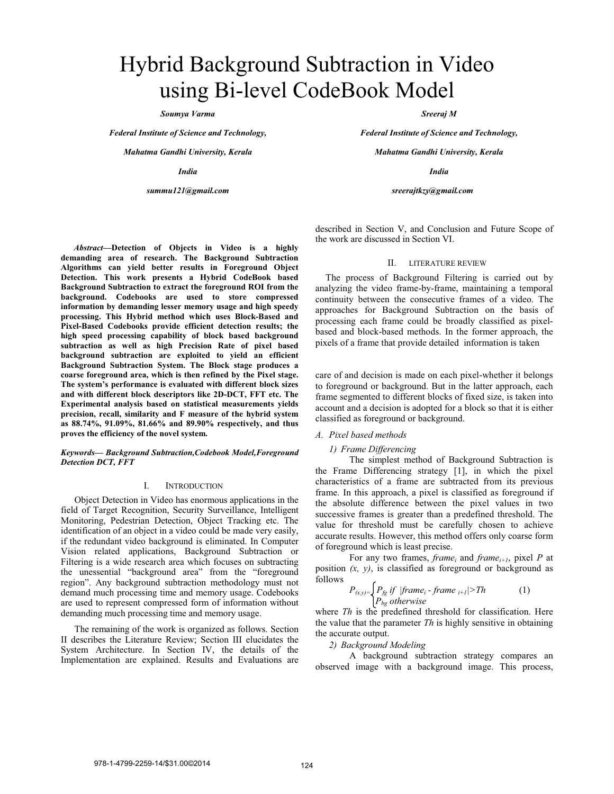# Hybrid Background Subtraction in Video using Bi-level CodeBook Model

*Soumya Varma* 

*Federal Institute of Science and Technology,* 

*Mahatma Gandhi University, Kerala* 

*India* 

*summu121@gmail.com* 

*Sreeraj M* 

*Federal Institute of Science and Technology,* 

*Mahatma Gandhi University, Kerala* 

*India* 

*sreerajtkzy@gmail.com* 

described in Section V, and Conclusion and Future Scope of the work are discussed in Section VI.

## II. LITERATURE REVIEW

The process of Background Filtering is carried out by analyzing the video frame-by-frame, maintaining a temporal continuity between the consecutive frames of a video. The approaches for Background Subtraction on the basis of processing each frame could be broadly classified as pixelbased and block-based methods. In the former approach, the pixels of a frame that provide detailed information is taken

care of and decision is made on each pixel-whether it belongs to foreground or background. But in the latter approach, each frame segmented to different blocks of fixed size, is taken into account and a decision is adopted for a block so that it is either classified as foreground or background.

## *A. Pixel based methods*

#### *1) Frame Differencing*

The simplest method of Background Subtraction is the Frame Differencing strategy [1], in which the pixel characteristics of a frame are subtracted from its previous frame. In this approach, a pixel is classified as foreground if the absolute difference between the pixel values in two successive frames is greater than a predefined threshold. The value for threshold must be carefully chosen to achieve accurate results. However, this method offers only coarse form of foreground which is least precise.

For any two frames, *frame<sub>i</sub>* and *frame<sub>i+1</sub>*, pixel *P* at position  $(x, y)$ , is classified as foreground or background as follows

$$
P_{(x,y)=}\begin{cases} P_{fg} \text{ if } |frame_i - frame_{i+1}| > Th \\ P_{bg} \text{ otherwise} \end{cases} (1)
$$

where *Th* is the predefined threshold for classification. Here the value that the parameter *Th* is highly sensitive in obtaining the accurate output.

*2) Background Modeling* 

A background subtraction strategy compares an observed image with a background image. This process,

*Abstract***—Detection of Objects in Video is a highly demanding area of research. The Background Subtraction Algorithms can yield better results in Foreground Object Detection. This work presents a Hybrid CodeBook based Background Subtraction to extract the foreground ROI from the background. Codebooks are used to store compressed information by demanding lesser memory usage and high speedy processing. This Hybrid method which uses Block-Based and Pixel-Based Codebooks provide efficient detection results; the high speed processing capability of block based background subtraction as well as high Precision Rate of pixel based background subtraction are exploited to yield an efficient Background Subtraction System. The Block stage produces a coarse foreground area, which is then refined by the Pixel stage. The system's performance is evaluated with different block sizes and with different block descriptors like 2D-DCT, FFT etc. The Experimental analysis based on statistical measurements yields precision, recall, similarity and F measure of the hybrid system as 88.74%, 91.09%, 81.66% and 89.90% respectively, and thus proves the efficiency of the novel system.**

*Keywords— Background Subtraction,Codebook Model,Foreground Detection DCT, FFT* 

## I. INTRODUCTION

Object Detection in Video has enormous applications in the field of Target Recognition, Security Surveillance, Intelligent Monitoring, Pedestrian Detection, Object Tracking etc. The identification of an object in a video could be made very easily, if the redundant video background is eliminated. In Computer Vision related applications, Background Subtraction or Filtering is a wide research area which focuses on subtracting the unessential "background area" from the "foreground region". Any background subtraction methodology must not demand much processing time and memory usage. Codebooks are used to represent compressed form of information without demanding much processing time and memory usage.

The remaining of the work is organized as follows. Section II describes the Literature Review; Section III elucidates the System Architecture. In Section IV, the details of the Implementation are explained. Results and Evaluations are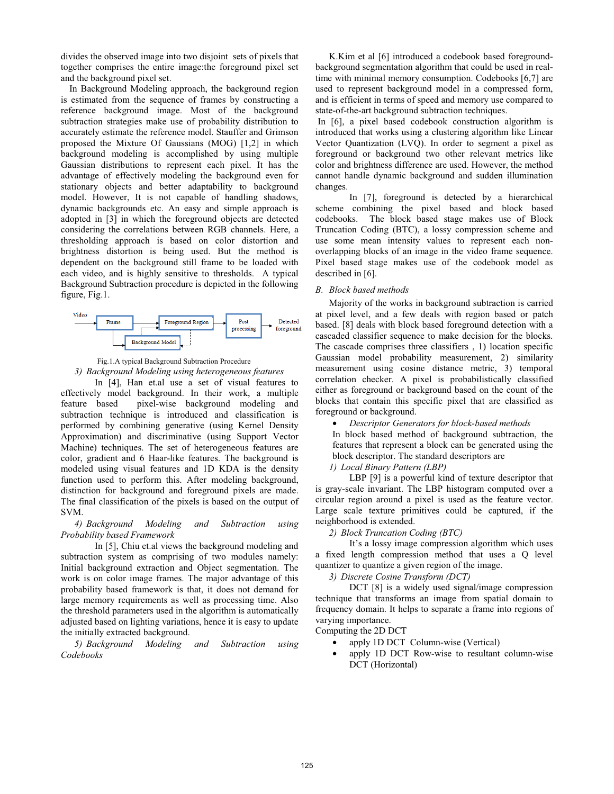divides the observed image into two disjoint sets of pixels that together comprises the entire image:the foreground pixel set and the background pixel set.

In Background Modeling approach, the background region is estimated from the sequence of frames by constructing a reference background image. Most of the background subtraction strategies make use of probability distribution to accurately estimate the reference model. Stauffer and Grimson proposed the Mixture Of Gaussians (MOG) [1,2] in which background modeling is accomplished by using multiple Gaussian distributions to represent each pixel. It has the advantage of effectively modeling the background even for stationary objects and better adaptability to background model. However, It is not capable of handling shadows, dynamic backgrounds etc. An easy and simple approach is adopted in [3] in which the foreground objects are detected considering the correlations between RGB channels. Here, a thresholding approach is based on color distortion and brightness distortion is being used. But the method is dependent on the background still frame to be loaded with each video, and is highly sensitive to thresholds. A typical Background Subtraction procedure is depicted in the following figure, Fig.1.



Fig.1.A typical Background Subtraction Procedure *3) Background Modeling using heterogeneous features* 

In [4], Han et.al use a set of visual features to effectively model background. In their work, a multiple feature based pixel-wise background modeling and subtraction technique is introduced and classification is performed by combining generative (using Kernel Density Approximation) and discriminative (using Support Vector Machine) techniques. The set of heterogeneous features are color, gradient and 6 Haar-like features. The background is modeled using visual features and 1D KDA is the density function used to perform this. After modeling background, distinction for background and foreground pixels are made. The final classification of the pixels is based on the output of SVM.

*4) Background Modeling and Subtraction using Probability based Framework* 

In [5], Chiu et.al views the background modeling and subtraction system as comprising of two modules namely: Initial background extraction and Object segmentation. The work is on color image frames. The major advantage of this probability based framework is that, it does not demand for large memory requirements as well as processing time. Also the threshold parameters used in the algorithm is automatically adjusted based on lighting variations, hence it is easy to update the initially extracted background.

*5) Background Modeling and Subtraction using Codebooks* 

K.Kim et al [6] introduced a codebook based foregroundbackground segmentation algorithm that could be used in realtime with minimal memory consumption. Codebooks [6,7] are used to represent background model in a compressed form, and is efficient in terms of speed and memory use compared to state-of-the-art background subtraction techniques.

 In [6], a pixel based codebook construction algorithm is introduced that works using a clustering algorithm like Linear Vector Quantization (LVQ). In order to segment a pixel as foreground or background two other relevant metrics like color and brightness difference are used. However, the method cannot handle dynamic background and sudden illumination changes.

 In [7], foreground is detected by a hierarchical scheme combining the pixel based and block based codebooks. The block based stage makes use of Block Truncation Coding (BTC), a lossy compression scheme and use some mean intensity values to represent each nonoverlapping blocks of an image in the video frame sequence. Pixel based stage makes use of the codebook model as described in [6].

# *B. Block based methods*

Majority of the works in background subtraction is carried at pixel level, and a few deals with region based or patch based. [8] deals with block based foreground detection with a cascaded classifier sequence to make decision for the blocks. The cascade comprises three classifiers , 1) location specific Gaussian model probability measurement, 2) similarity measurement using cosine distance metric, 3) temporal correlation checker. A pixel is probabilistically classified either as foreground or background based on the count of the blocks that contain this specific pixel that are classified as foreground or background.

• *Descriptor Generators for block-based methods* 

In block based method of background subtraction, the features that represent a block can be generated using the block descriptor. The standard descriptors are

# *1) Local Binary Pattern (LBP)*

LBP [9] is a powerful kind of texture descriptor that is gray-scale invariant. The LBP histogram computed over a circular region around a pixel is used as the feature vector. Large scale texture primitives could be captured, if the neighborhood is extended.

# *2) Block Truncation Coding (BTC)*

It's a lossy image compression algorithm which uses a fixed length compression method that uses a Q level quantizer to quantize a given region of the image.

*3) Discrete Cosine Transform (DCT)* 

DCT [8] is a widely used signal/image compression technique that transforms an image from spatial domain to frequency domain. It helps to separate a frame into regions of varying importance.

Computing the 2D DCT

- apply 1D DCT Column-wise (Vertical)
- apply 1D DCT Row-wise to resultant column-wise DCT (Horizontal)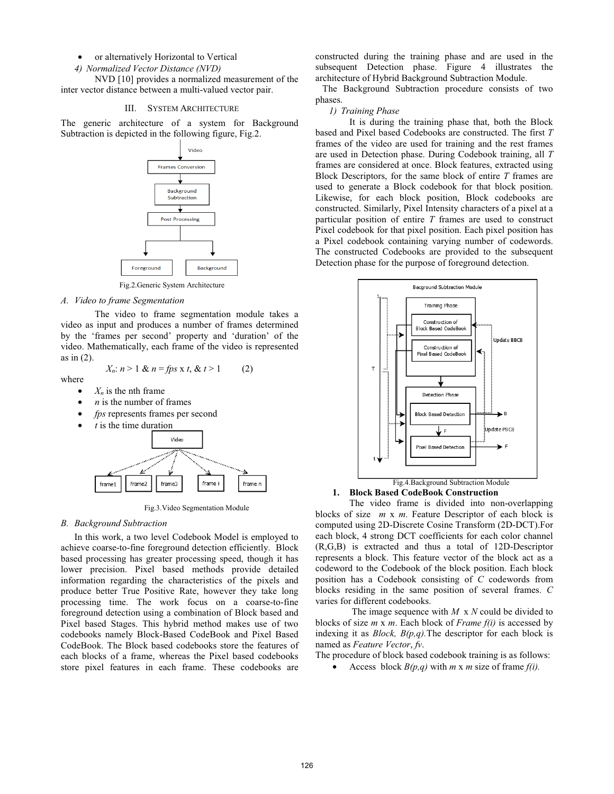## • or alternatively Horizontal to Vertical

*4) Normalized Vector Distance (NVD)* 

NVD [10] provides a normalized measurement of the inter vector distance between a multi-valued vector pair.

### III. SYSTEM ARCHITECTURE

The generic architecture of a system for Background Subtraction is depicted in the following figure, Fig.2.



Fig.2.Generic System Architecture

#### *A. Video to frame Segmentation*

The video to frame segmentation module takes a video as input and produces a number of frames determined by the 'frames per second' property and 'duration' of the video. Mathematically, each frame of the video is represented as in (2).

 $X_n: n > 1 \& n = fps \times t, \& t > 1$  (2)

where

- $X_n$  is the nth frame
- *n* is the number of frames
- *fps* represents frames per second
- *t* is the time duration



Fig.3.Video Segmentation Module

#### *B. Background Subtraction*

In this work, a two level Codebook Model is employed to achieve coarse-to-fine foreground detection efficiently. Block based processing has greater processing speed, though it has lower precision. Pixel based methods provide detailed information regarding the characteristics of the pixels and produce better True Positive Rate, however they take long processing time. The work focus on a coarse-to-fine foreground detection using a combination of Block based and Pixel based Stages. This hybrid method makes use of two codebooks namely Block-Based CodeBook and Pixel Based CodeBook. The Block based codebooks store the features of each blocks of a frame, whereas the Pixel based codebooks store pixel features in each frame. These codebooks are

constructed during the training phase and are used in the subsequent Detection phase. Figure 4 illustrates the architecture of Hybrid Background Subtraction Module.

 The Background Subtraction procedure consists of two phases.

# *1) Training Phase*

It is during the training phase that, both the Block based and Pixel based Codebooks are constructed. The first *T* frames of the video are used for training and the rest frames are used in Detection phase. During Codebook training, all *T* frames are considered at once. Block features, extracted using Block Descriptors, for the same block of entire *T* frames are used to generate a Block codebook for that block position. Likewise, for each block position, Block codebooks are constructed. Similarly, Pixel Intensity characters of a pixel at a particular position of entire *T* frames are used to construct Pixel codebook for that pixel position. Each pixel position has a Pixel codebook containing varying number of codewords. The constructed Codebooks are provided to the subsequent Detection phase for the purpose of foreground detection.



**1. Block Based CodeBook Construction**

The video frame is divided into non-overlapping blocks of size *m* x *m*. Feature Descriptor of each block is computed using 2D-Discrete Cosine Transform (2D-DCT).For each block, 4 strong DCT coefficients for each color channel (R,G,B) is extracted and thus a total of 12D-Descriptor represents a block. This feature vector of the block act as a codeword to the Codebook of the block position. Each block position has a Codebook consisting of *C* codewords from blocks residing in the same position of several frames. *C* varies for different codebooks.

 The image sequence with *M* x *N* could be divided to blocks of size *m* x *m*. Each block of *Frame f(i)* is accessed by indexing it as *Block, B(p,q).*The descriptor for each block is named as *Feature Vector*, *fv*.

The procedure of block based codebook training is as follows:

• Access block *B(p,q)* with *m* x *m* size of frame *f(i).*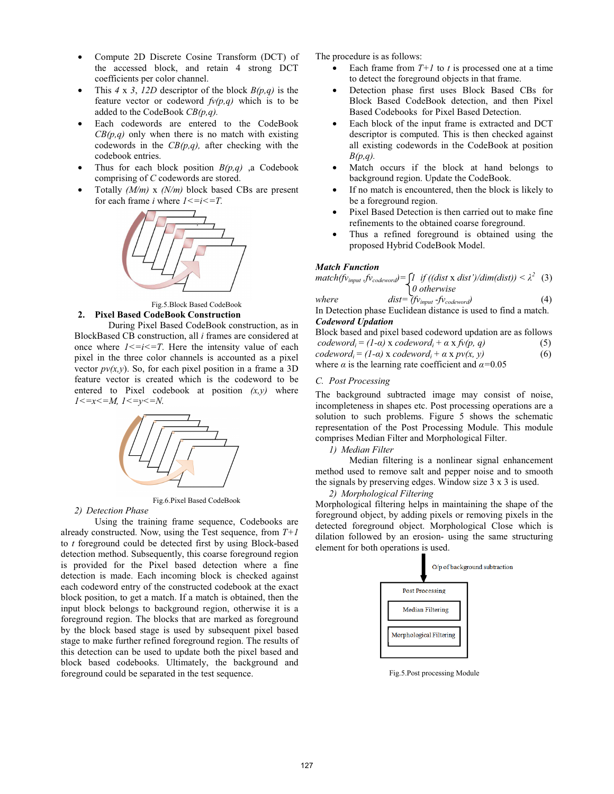- Compute 2D Discrete Cosine Transform (DCT) of the accessed block, and retain 4 strong DCT coefficients per color channel.
- This *4* x *3*, *12D* descriptor of the block *B(p,q)* is the feature vector or codeword *fv(p,q)* which is to be added to the CodeBook *CB(p,q).*
- Each codewords are entered to the CodeBook *CB(p,q)* only when there is no match with existing codewords in the *CB(p,q),* after checking with the codebook entries.
- Thus for each block position  $B(p,q)$ , a Codebook comprising of *C* codewords are stored.
- Totally *(M/m)* x *(N/m)* block based CBs are present for each frame *i* where  $1 \le i \le T$ .





During Pixel Based CodeBook construction, as in BlockBased CB construction, all *i* frames are considered at once where  $1 \le i \le T$ . Here the intensity value of each pixel in the three color channels is accounted as a pixel vector  $pv(x, y)$ . So, for each pixel position in a frame a 3D feature vector is created which is the codeword to be entered to Pixel codebook at position *(x,y)* where *1<=x<=M, 1<=y<=N.* 



Fig.6.Pixel Based CodeBook

*2) Detection Phase* 

Using the training frame sequence, Codebooks are already constructed. Now, using the Test sequence, from *T+1* to *t* foreground could be detected first by using Block-based detection method. Subsequently, this coarse foreground region is provided for the Pixel based detection where a fine detection is made. Each incoming block is checked against each codeword entry of the constructed codebook at the exact block position, to get a match. If a match is obtained, then the input block belongs to background region, otherwise it is a foreground region. The blocks that are marked as foreground by the block based stage is used by subsequent pixel based stage to make further refined foreground region. The results of this detection can be used to update both the pixel based and block based codebooks. Ultimately, the background and foreground could be separated in the test sequence.

The procedure is as follows:

- Each frame from  $T+1$  to t is processed one at a time to detect the foreground objects in that frame.
- Detection phase first uses Block Based CBs for Block Based CodeBook detection, and then Pixel Based Codebooks for Pixel Based Detection.
- Each block of the input frame is extracted and DCT descriptor is computed. This is then checked against all existing codewords in the CodeBook at position *B(p,q).*
- Match occurs if the block at hand belongs to background region. Update the CodeBook.
- If no match is encountered, then the block is likely to be a foreground region.
- Pixel Based Detection is then carried out to make fine refinements to the obtained coarse foreground.
- Thus a refined foreground is obtained using the proposed Hybrid CodeBook Model.

## *Match Function*

$$
match(fv_{input}.fv_{codeword}) = \int_{0}^{1} \text{ if } ((dist \times dist')/dim(dist)) < \lambda^{2} \quad (3)
$$
  
0 otherwise

*where*  $dist = (f_{V_{input}} - f_{V_{codeword}})$  (4) In Detection phase Euclidean distance is used to find a match. *Codeword Updation* 

Block based and pixel based codeword updation are as follows  $codeword_i = (1-a) \times codeword_i + a \times f \circ (p, q)$  (5)  $codeword_i = (1-\alpha) \times codeword_i + \alpha \times pv(x, y)$  (6) where  $\alpha$  is the learning rate coefficient and  $\alpha$ =0.05

# *C. Post Processing*

The background subtracted image may consist of noise, incompleteness in shapes etc. Post processing operations are a solution to such problems. Figure 5 shows the schematic representation of the Post Processing Module. This module comprises Median Filter and Morphological Filter.

*1) Median Filter* 

Median filtering is a nonlinear signal enhancement method used to remove salt and pepper noise and to smooth the signals by preserving edges. Window size 3 x 3 is used.

*2) Morphological Filtering* 

Morphological filtering helps in maintaining the shape of the foreground object, by adding pixels or removing pixels in the detected foreground object. Morphological Close which is dilation followed by an erosion- using the same structuring element for both operations is used.



Fig.5.Post processing Module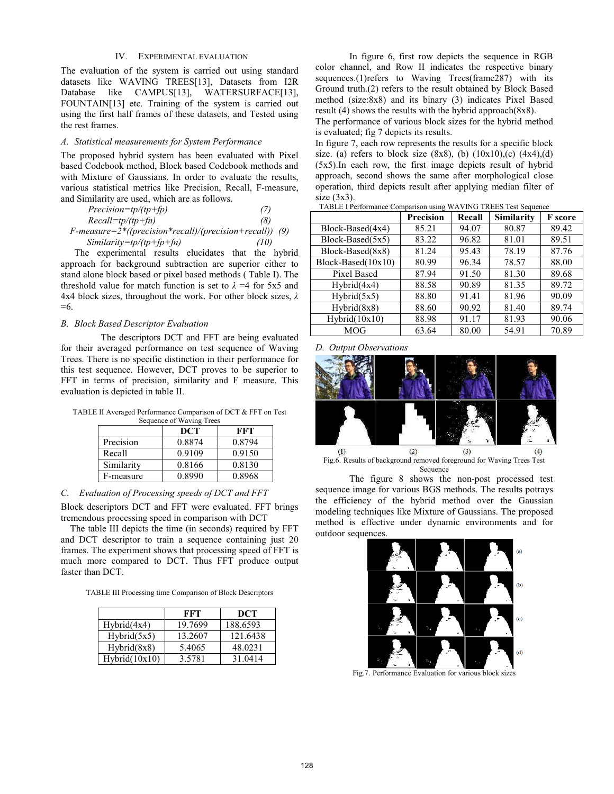# IV. EXPERIMENTAL EVALUATION

The evaluation of the system is carried out using standard datasets like WAVING TREES[13], Datasets from I2R Database like CAMPUS[13], WATERSURFACE[13], FOUNTAIN[13] etc. Training of the system is carried out using the first half frames of these datasets, and Tested using the rest frames.

## *A. Statistical measurements for System Performance*

The proposed hybrid system has been evaluated with Pixel based Codebook method, Block based Codebook methods and with Mixture of Gaussians. In order to evaluate the results, various statistical metrics like Precision, Recall, F-measure, and Similarity are used, which are as follows.

| $Precision = tp/(tp + fp)$ | (7) |
|----------------------------|-----|
| $Recall=tp/(tp+fn)$        | (8) |
|                            |     |

*F-measure=2\*((precision\*recall)/(precision+recall)) (9) Similarity=tp/(tp+fp+fn) (10)* 

The experimental results elucidates that the hybrid approach for background subtraction are superior either to stand alone block based or pixel based methods ( Table I). The threshold value for match function is set to  $\lambda = 4$  for 5x5 and 4x4 block sizes, throughout the work. For other block sizes,  $\lambda$ =6.

## *B. Block Based Descriptor Evaluation*

 The descriptors DCT and FFT are being evaluated for their averaged performance on test sequence of Waving Trees. There is no specific distinction in their performance for this test sequence. However, DCT proves to be superior to FFT in terms of precision, similarity and F measure. This evaluation is depicted in table II.

TABLE II Averaged Performance Comparison of DCT & FFT on Test

| Sequence of Waving Trees |        |        |  |
|--------------------------|--------|--------|--|
|                          | DCT    | FFT    |  |
| Precision                | 0.8874 | 0.8794 |  |
| Recall                   | 0.9109 | 0.9150 |  |
| Similarity               | 0.8166 | 0.8130 |  |
| F-measure                | 0.8990 | 0.8968 |  |

# *C. Evaluation of Processing speeds of DCT and FFT*

Block descriptors DCT and FFT were evaluated. FFT brings tremendous processing speed in comparison with DCT

 The table III depicts the time (in seconds) required by FFT and DCT descriptor to train a sequence containing just 20 frames. The experiment shows that processing speed of FFT is much more compared to DCT. Thus FFT produce output faster than DCT.

TABLE III Processing time Comparison of Block Descriptors

|               | FFT     | DCT      |
|---------------|---------|----------|
| Hybrid(4x4)   | 19.7699 | 188.6593 |
| Hybrid(5x5)   | 13.2607 | 121.6438 |
| Hybrid(8x8)   | 5.4065  | 48.0231  |
| Hybrid(10x10) | 3.5781  | 31.0414  |

In figure 6, first row depicts the sequence in RGB color channel, and Row II indicates the respective binary sequences.(1)refers to Waving Trees(frame287) with its Ground truth.(2) refers to the result obtained by Block Based method (size:8x8) and its binary (3) indicates Pixel Based result (4) shows the results with the hybrid approach(8x8).

The performance of various block sizes for the hybrid method is evaluated; fig 7 depicts its results.

In figure 7, each row represents the results for a specific block size. (a) refers to block size  $(8x8)$ , (b)  $(10x10)$ , (c)  $(4x4)$ , (d) (5x5).In each row, the first image depicts result of hybrid approach, second shows the same after morphological close operation, third depicts result after applying median filter of size (3x3).

|                       | <b>Precision</b> | Recall | <b>Similarity</b> | <b>F</b> score |
|-----------------------|------------------|--------|-------------------|----------------|
| Block-Based(4x4)      | 85.21            | 94.07  | 80.87             | 89.42          |
| Block-Based(5x5)      | 83.22            | 96.82  | 81.01             | 89.51          |
| Block-Based(8x8)      | 81.24            | 95.43  | 78.19             | 87.76          |
| $Block-Based (10x10)$ | 80.99            | 96.34  | 78.57             | 88.00          |
| Pixel Based           | 87.94            | 91.50  | 81.30             | 89.68          |
| Hybrid(4x4)           | 88.58            | 90.89  | 81.35             | 89.72          |
| Hybrid(5x5)           | 88.80            | 91.41  | 81.96             | 90.09          |
| Hybrid(8x8)           | 88.60            | 90.92  | 81.40             | 89.74          |
| Hybrid(10x10)         | 88.98            | 91.17  | 81.93             | 90.06          |
| <b>MOG</b>            | 63.64            | 80.00  | 54.91             | 70.89          |

TABLE I Performance Comparison using WAVING TREES Test Sequence

# *D. Output Observations*



Fig.6. Results of background removed foreground for Waving Trees Test **Sequence** 

The figure 8 shows the non-post processed test sequence image for various BGS methods. The results potrays the efficiency of the hybrid method over the Gaussian modeling techniques like Mixture of Gaussians. The proposed method is effective under dynamic environments and for outdoor sequences.



Fig.7. Performance Evaluation for various block sizes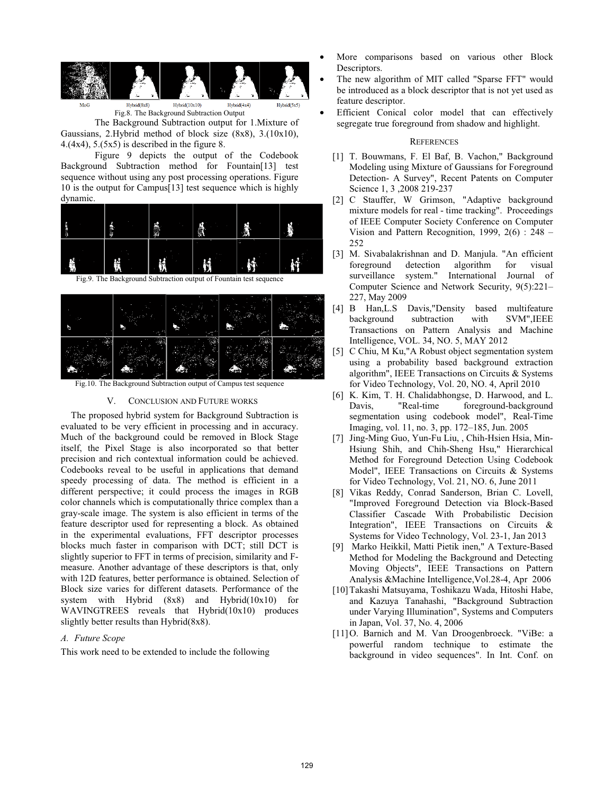

Fig.8. The Background Subtraction Output

The Background Subtraction output for 1.Mixture of Gaussians, 2.Hybrid method of block size (8x8), 3.(10x10), 4.(4x4),  $5.(5x5)$  is described in the figure 8.

Figure 9 depicts the output of the Codebook Background Subtraction method for Fountain[13] test sequence without using any post processing operations. Figure 10 is the output for Campus[13] test sequence which is highly dynamic.



Fig.9. The Background Subtraction output of Fountain test sequence

| $\epsilon$ |   | a. | í | . . |
|------------|---|----|---|-----|
|            | m |    |   |     |

Fig.10. The Background Subtraction output of Campus test sequence

# V. CONCLUSION AND FUTURE WORKS

The proposed hybrid system for Background Subtraction is evaluated to be very efficient in processing and in accuracy. Much of the background could be removed in Block Stage itself, the Pixel Stage is also incorporated so that better precision and rich contextual information could be achieved. Codebooks reveal to be useful in applications that demand speedy processing of data. The method is efficient in a different perspective; it could process the images in RGB color channels which is computationally thrice complex than a gray-scale image. The system is also efficient in terms of the feature descriptor used for representing a block. As obtained in the experimental evaluations, FFT descriptor processes blocks much faster in comparison with DCT; still DCT is slightly superior to FFT in terms of precision, similarity and Fmeasure. Another advantage of these descriptors is that, only with 12D features, better performance is obtained. Selection of Block size varies for different datasets. Performance of the system with Hybrid (8x8) and Hybrid(10x10) for WAVINGTREES reveals that Hybrid(10x10) produces slightly better results than Hybrid(8x8).

# *A. Future Scope*

This work need to be extended to include the following

- More comparisons based on various other Block Descriptors.
- The new algorithm of MIT called "Sparse FFT" would be introduced as a block descriptor that is not yet used as feature descriptor.
- Efficient Conical color model that can effectively segregate true foreground from shadow and highlight.

### **REFERENCES**

- [1] T. Bouwmans, F. El Baf, B. Vachon," Background Modeling using Mixture of Gaussians for Foreground Detection- A Survey", Recent Patents on Computer Science 1, 3 ,2008 219-237
- [2] C Stauffer, W Grimson, "Adaptive background mixture models for real - time tracking". Proceedings of IEEE Computer Society Conference on Computer Vision and Pattern Recognition, 1999, 2(6) : 248 – 252
- [3] M. Sivabalakrishnan and D. Manjula. "An efficient foreground detection algorithm for visual surveillance system." International Journal of Computer Science and Network Security, 9(5):221– 227, May 2009
- [4] B Han,L.S Davis,"Density based multifeature background subtraction with SVM",IEEE Transactions on Pattern Analysis and Machine Intelligence, VOL. 34, NO. 5, MAY 2012
- [5] C Chiu, M Ku,"A Robust object segmentation system using a probability based background extraction algorithm", IEEE Transactions on Circuits & Systems for Video Technology, Vol. 20, NO. 4, April 2010
- [6] K. Kim, T. H. Chalidabhongse, D. Harwood, and L. Davis, "Real-time foreground-background segmentation using codebook model", Real-Time Imaging, vol. 11, no. 3, pp. 172–185, Jun. 2005
- [7] Jing-Ming Guo, Yun-Fu Liu, , Chih-Hsien Hsia, Min-Hsiung Shih, and Chih-Sheng Hsu," Hierarchical Method for Foreground Detection Using Codebook Model", IEEE Transactions on Circuits & Systems for Video Technology, Vol. 21, NO. 6, June 2011
- [8] Vikas Reddy, Conrad Sanderson, Brian C. Lovell, "Improved Foreground Detection via Block-Based Classifier Cascade With Probabilistic Decision Integration", IEEE Transactions on Circuits & Systems for Video Technology, Vol. 23-1, Jan 2013
- [9] Marko Heikkil, Matti Pietik inen," A Texture-Based Method for Modeling the Background and Detecting Moving Objects", IEEE Transactions on Pattern Analysis &Machine Intelligence,Vol.28-4, Apr 2006
- [10]Takashi Matsuyama, Toshikazu Wada, Hitoshi Habe, and Kazuya Tanahashi, "Background Subtraction under Varying Illumination", Systems and Computers in Japan, Vol. 37, No. 4, 2006
- [11]O. Barnich and M. Van Droogenbroeck. "ViBe: a powerful random technique to estimate the background in video sequences". In Int. Conf. on